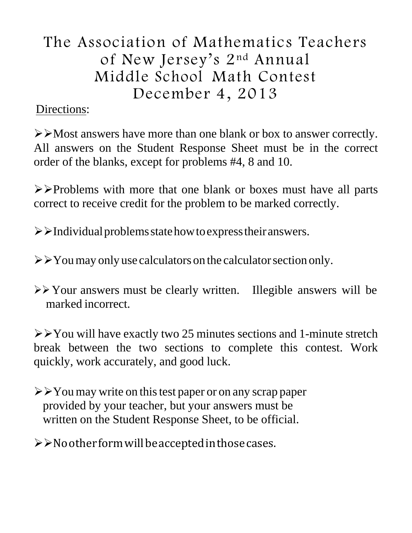# The Association of Mathematics Teachers of New Jersey's 2nd Annual Middle School Math Contest December 4, 2013

## Directions:

 $\triangleright$  Most answers have more than one blank or box to answer correctly. All answers on the Student Response Sheet must be in the correct order of the blanks, except for problems #4, 8 and 10.

 $\triangleright$   $\triangleright$  Problems with more that one blank or boxes must have all parts correct to receive credit for the problem to be marked correctly.

 $\triangleright$   $\triangleright$  Individual problems state how to express their answers.

 $\triangleright$   $\triangleright$  You may only use calculators on the calculator section only.

 $\triangleright$  Your answers must be clearly written. Illegible answers will be marked incorrect.

 $\triangleright$   $\triangleright$  You will have exactly two 25 minutes sections and 1-minute stretch break between the two sections to complete this contest. Work quickly, work accurately, and good luck.

 $\triangleright$   $\triangleright$  You may write on this test paper or on any scrap paper provided by your teacher, but your answers must be written on the Student Response Sheet, to be official.

 $\triangleright$   $\triangleright$  No other form will be accepted in those cases.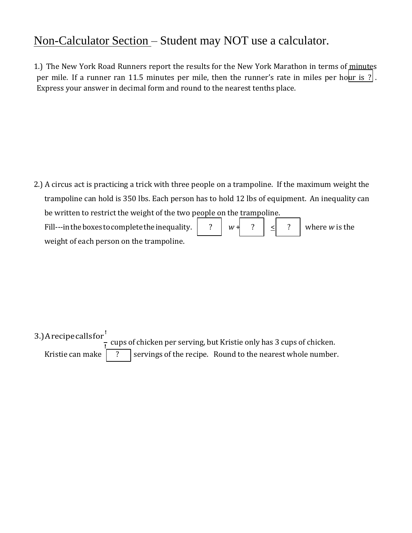### Non-Calculator Section – Student may NOT use a calculator.

1.) The New York Road Runners report the results for the New York Marathon in terms of minutes per mile. If a runner ran 11.5 minutes per mile, then the runner's rate in miles per hour is ?. Express your answer in decimal form and round to the nearest tenths place.

2.) A circus act is practicing a trick with three people on a trampoline. If the maximum weight the trampoline can hold is 350 lbs. Each person has to hold 12 lbs of equipment. An inequality can be written to restrict the weight of the two people on the trampoline.

? Fill---in the boxes to complete the inequality. weight of each person on the trampoline.  $w + ?$   $| \leq | ?$  where *w* is the

3.) A recipe calls for

<u>t</u> cups of chicken per serving, but Kristie only has 3 cups of chicken. Kristie can make  $\begin{vmatrix} 2 \\ \end{vmatrix}$  servings of the recipe. Round to the nearest whole number.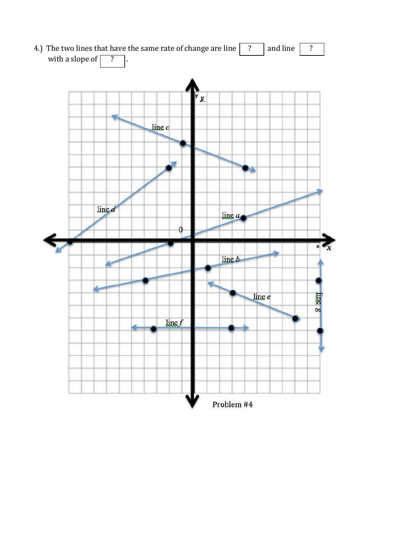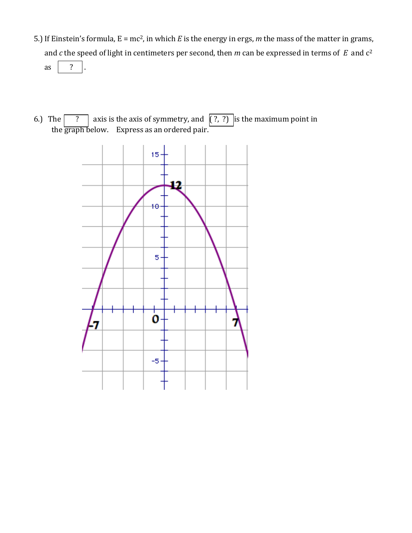- ? 5.) If Einstein's formula, E = mc2, in which *E* is the energy in ergs, *m* the mass of the matter in grams, and *c* the speed of light in centimeters per second, then *m* can be expressed in terms of *E* and c 2 as
- 6.) The  $\boxed{?}$  axis is the axis of symmetry, and  $\boxed{?}$ ,  $?\boxed{ }$  is the maximum point in the graph below. Express as an ordered pair.

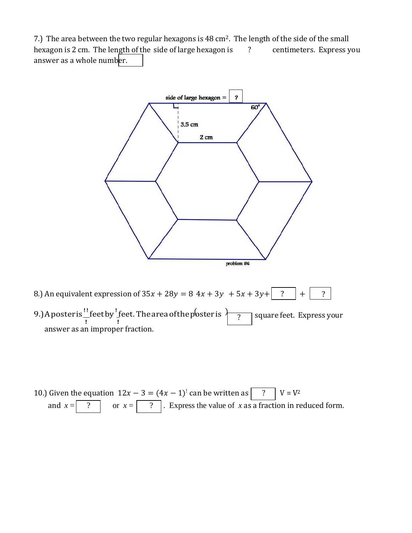7.) The area between the two regular hexagons is 48 cm<sup>2</sup>. The length of the side of the small hexagon is 2 cm. The length of the side of large hexagon is ? centimeters. Express you answer as a whole number.



9.) A poster is  $\frac{!}{!}$  feet by  $\frac{!}{!}$  feet. The area of the poster is  $\overline{ \left( \begin{array}{cc} ? & \text{square feet. Express your} \end{array} \right)}$ answer as an improper fraction. ?

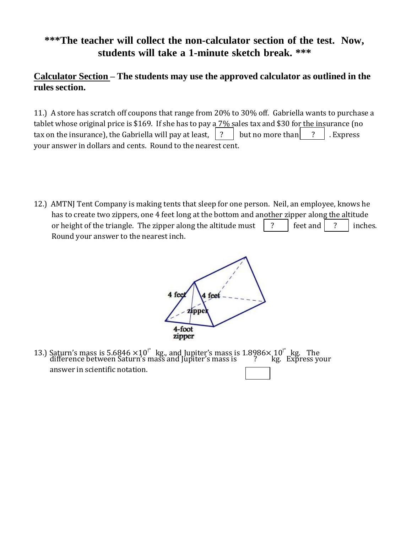#### **\*\*\*The teacher will collect the non-calculator section of the test. Now, students will take a 1-minute sketch break. \*\*\***

#### **Calculator Section – The students may use the approved calculator as outlined in the rules section.**

11.) A store has scratch off coupons that range from 20% to 30% off. Gabriella wants to purchase a tablet whose original price is \$169. If she has to pay a 7% sales tax and \$30 for the insurance (no tax on the insurance), the Gabriella will pay at least,  $\begin{bmatrix} ? \end{bmatrix}$  but no more than  $\begin{bmatrix} ? \end{bmatrix}$ . Express your answer in dollars and cents. Round to the nearest cent.

12.) AMTNJ Tent Company is making tents that sleep for one person. Neil, an employee, knows he has to create two zippers, one 4 feet long at the bottom and another zipper along the altitude or height of the triangle. The zipper along the altitude must  $\begin{array}{ccc} \vert & ? \end{array}$  [ feet and  $\begin{array}{ccc} \vert & ? \end{array}$  inches. Round your answer to the nearest inch.



13.) Saturn's mass is 5.6846  $\times 10^{1}$  kg., and Jupiter's mass is 1.8986 $\times$ 10<sup>1</sup> kg. The difference between Saturn's mass and Jupiter's mass is  $\frac{1}{2}$  kg. Express your answer in scientific notation.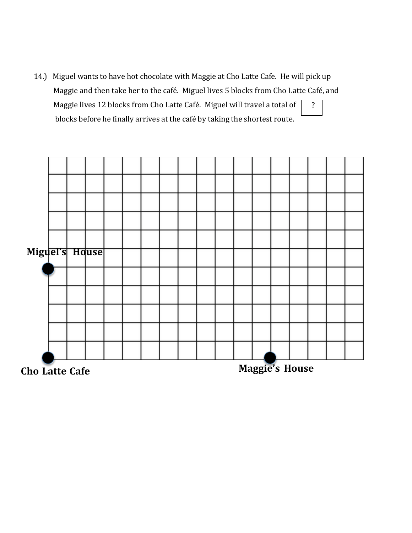? 14.) Miguel wants to have hot chocolate with Maggie at Cho Latte Cafe. He will pick up Maggie and then take her to the café. Miguel lives 5 blocks from Cho Latte Café, and Maggie lives 12 blocks from Cho Latte Café. Miguel will travel a total of | blocks before he finally arrives at the café by taking the shortest route.

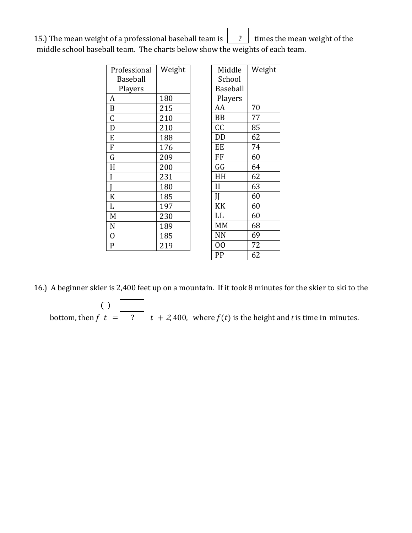15.) The mean weight of a professional baseball team is  $\begin{bmatrix} 2 \end{bmatrix}$  times the mean weight of the middle school baseball team. The charts below show the weights of each team.

| Professional     | Weight |                 | Middle       | Weight |
|------------------|--------|-----------------|--------------|--------|
| <b>Baseball</b>  |        | School          |              |        |
| Players          |        | <b>Baseball</b> |              |        |
| A                | 180    |                 | Players      |        |
| $\boldsymbol{B}$ | 215    |                 | AA           | 70     |
| C                | 210    |                 | <b>BB</b>    | 77     |
| D                | 210    |                 | cc           | 85     |
| E                | 188    |                 | DD           | 62     |
| $\overline{F}$   | 176    |                 | EE           | 74     |
| G                | 209    |                 | FF           | 60     |
| H                | 200    |                 | GG           | 64     |
| I                | 231    |                 | HH           | 62     |
|                  | 180    |                 | $\mathbf{I}$ | 63     |
| K                | 185    |                 | H            | 60     |
| L                | 197    |                 | KK           | 60     |
| M                | 230    |                 | LL           | 60     |
| N                | 189    |                 | <b>MM</b>    | 68     |
| $\overline{0}$   | 185    |                 | <b>NN</b>    | 69     |
| $\mathbf{P}$     | 219    |                 | 00           | 72     |
|                  |        |                 | PP           | 62     |

16.) A beginner skier is 2,400 feet up on a mountain. If it took 8 minutes for the skier to ski to the

 $( )$ bottom, then  $f(t) =$   $\frac{1}{2}$   $\frac{1}{2}$   $\frac{1}{2}$  + 2,400, where  $f(t)$  is the height and *t* is time in minutes.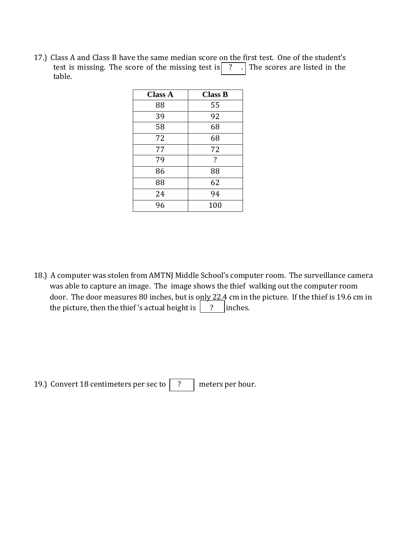17.) Class A and Class B have the same median score on the first test. One of the student's test is missing. The score of the missing test is  $\boxed{?}$ . The scores are listed in the table.

| <b>Class A</b> | <b>Class B</b>     |  |
|----------------|--------------------|--|
| 88             | 55                 |  |
| 39             | 92                 |  |
| 58             | 68                 |  |
| 72             | 68                 |  |
| 77             | 72                 |  |
| 79             | $\overline{\cdot}$ |  |
| 86             | 88                 |  |
| 88             | 62                 |  |
| 24             | 94                 |  |
| 96             | 100                |  |

18.) A computer was stolen from AMTNJ Middle School's computer room. The surveillance camera was able to capture an image. The image shows the thief walking out the computer room door. The door measures 80 inches, but is only 22.4 cm in the picture. If the thief is 19.6 cm in the picture, then the thief 's actual height is  $\begin{vmatrix} 2 \\ 1 \end{vmatrix}$  inches.

19.) Convert 18 centimeters per sec to  $\boxed{?}$  meters per hour.